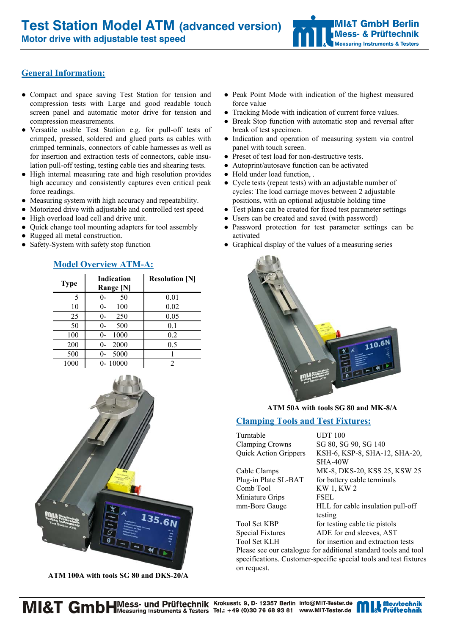**Motor drive with adjustable test speed** 

# **General Information:**

- Compact and space saving Test Station for tension and compression tests with Large and good readable touch screen panel and automatic motor drive for tension and compression measurements.
- Versatile usable Test Station e.g. for pull-off tests of crimped, pressed, soldered and glued parts as cables with crimped terminals, connectors of cable harnesses as well as for insertion and extraction tests of connectors, cable insulation pull-off testing, testing cable ties and shearing tests.
- High internal measuring rate and high resolution provides high accuracy and consistently captures even critical peak force readings.
- Measuring system with high accuracy and repeatability.
- Motorized drive with adjustable and controlled test speed
- High overload load cell and drive unit.
- Quick change tool mounting adapters for tool assembly
- Rugged all metal construction.
- Safety-System with safety stop function

| <b>Type</b> | Indication<br>Range [N] | <b>Resolution [N]</b> |
|-------------|-------------------------|-----------------------|
| 5           | 50                      | 0.01                  |
| 10          | 100<br>$()$ -           | 0.02                  |
| 25          | 250<br>$_{0}$           | 0.05                  |
| 50          | 500<br>$\Omega$         | 0.1                   |
| 100         | 1000<br>$0 -$           | 0.2                   |
| 200         | 2000                    | 0.5                   |
| 500         | 5000<br>$_{0}$          |                       |
| 1000        | $0 - 10000$             |                       |

# **Model Overview ATM-A:**



 **ATM 100A with tools SG 80 and DKS-20/A** 

- Peak Point Mode with indication of the highest measured force value
- Tracking Mode with indication of current force values.
- Break Stop function with automatic stop and reversal after break of test specimen.
- Indication and operation of measuring system via control panel with touch screen.
- Preset of test load for non-destructive tests.
- Autoprint/autosave function can be activated
- Hold under load function, .
- Cycle tests (repeat tests) with an adjustable number of cycles: The load carriage moves between 2 adjustable positions, with an optional adjustable holding time
- Test plans can be created for fixed test parameter settings
- Users can be created and saved (with password)
- Password protection for test parameter settings can be activated
- Graphical display of the values of a measuring series



## **ATM 50A with tools SG 80 and MK-8/A**

## **Clamping Tools and Test Fixtures:**

Turntable UDT 100 Clamping Crowns SG 80, SG 90, SG 140

Comb Tool KW 1, KW 2 Miniature Grips FSEL

Quick Action Grippers KSH-6, KSP-8, SHA-12, SHA-20, SHA-40W Cable Clamps MK-8, DKS-20, KSS 25, KSW 25 Plug-in Plate SL-BAT for battery cable terminals mm-Bore Gauge HLL for cable insulation pull-off testing Tool Set KBP for testing cable tie pistols Special Fixtures ADE for end sleeves, AST

Tool Set KLH for insertion and extraction tests

Please see our catalogue for additional standard tools and tool specifications. Customer-specific special tools and test fixtures on request.